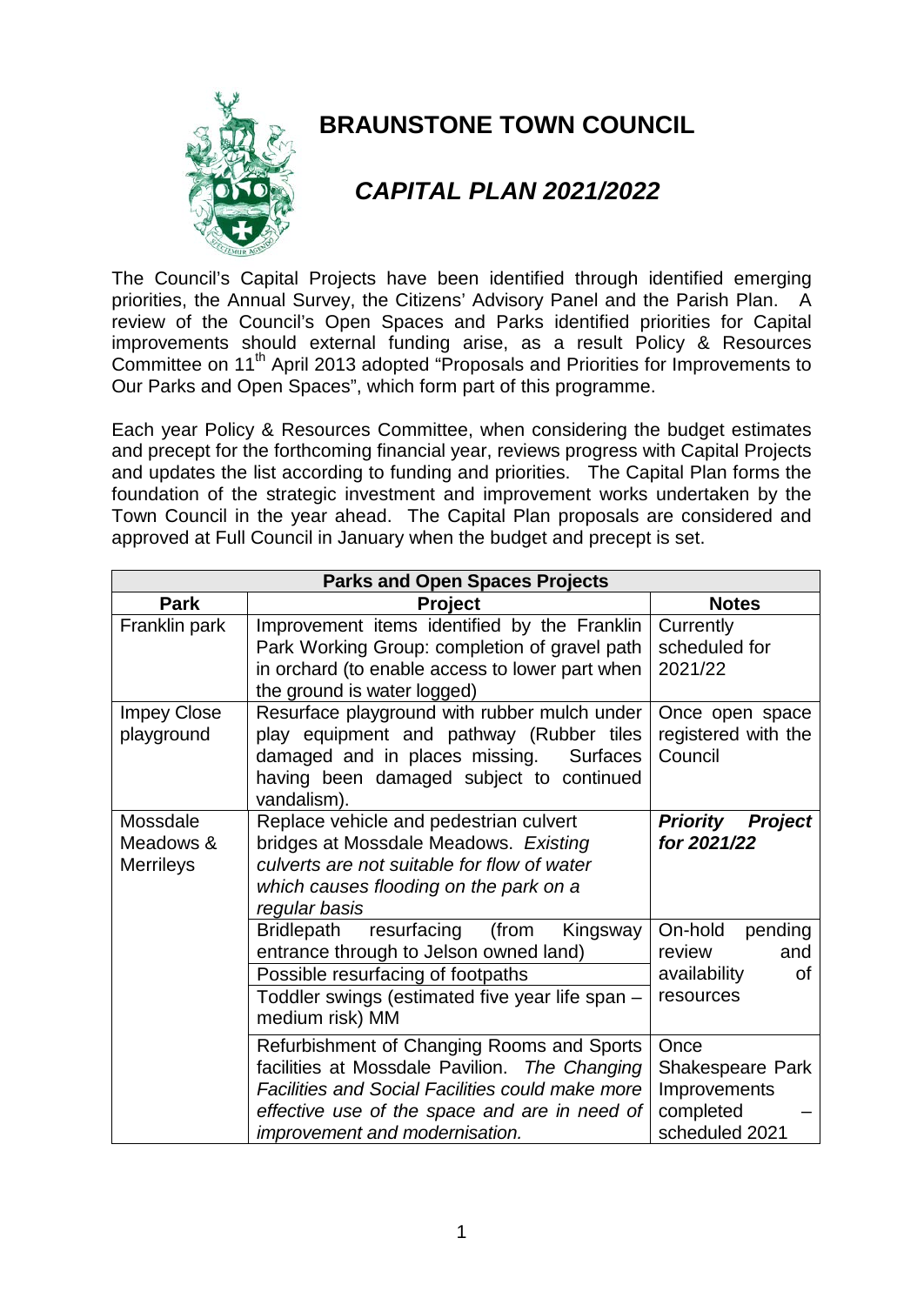

## **BRAUNSTONE TOWN COUNCIL**

## *CAPITAL PLAN 2021/2022*

The Council's Capital Projects have been identified through identified emerging priorities, the Annual Survey, the Citizens' Advisory Panel and the Parish Plan. A review of the Council's Open Spaces and Parks identified priorities for Capital improvements should external funding arise, as a result Policy & Resources Committee on 11<sup>th</sup> April 2013 adopted "Proposals and Priorities for Improvements to Our Parks and Open Spaces", which form part of this programme.

Each year Policy & Resources Committee, when considering the budget estimates and precept for the forthcoming financial year, reviews progress with Capital Projects and updates the list according to funding and priorities. The Capital Plan forms the foundation of the strategic investment and improvement works undertaken by the Town Council in the year ahead. The Capital Plan proposals are considered and approved at Full Council in January when the budget and precept is set.

| <b>Parks and Open Spaces Projects</b>     |                                                                                                                                                                                                                                           |                                                                         |
|-------------------------------------------|-------------------------------------------------------------------------------------------------------------------------------------------------------------------------------------------------------------------------------------------|-------------------------------------------------------------------------|
| <b>Park</b>                               | <b>Project</b>                                                                                                                                                                                                                            | <b>Notes</b>                                                            |
| Franklin park                             | Improvement items identified by the Franklin<br>Park Working Group: completion of gravel path<br>in orchard (to enable access to lower part when<br>the ground is water logged)                                                           | Currently<br>scheduled for<br>2021/22                                   |
| <b>Impey Close</b><br>playground          | Resurface playground with rubber mulch under<br>play equipment and pathway (Rubber tiles<br>damaged and in places missing.<br><b>Surfaces</b><br>having been damaged subject to continued<br>vandalism).                                  | Once open space<br>registered with the<br>Council                       |
| Mossdale<br>Meadows &<br><b>Merrileys</b> | Replace vehicle and pedestrian culvert<br>bridges at Mossdale Meadows. Existing<br>culverts are not suitable for flow of water<br>which causes flooding on the park on a<br>regular basis                                                 | <b>Priority</b><br><b>Project</b><br>for 2021/22                        |
|                                           | resurfacing<br>Bridlepath<br>(from<br>Kingsway<br>entrance through to Jelson owned land)<br>Possible resurfacing of footpaths<br>Toddler swings (estimated five year life span -<br>medium risk) MM                                       | On-hold<br>pending<br>review<br>and<br>availability<br>οf<br>resources  |
|                                           | Refurbishment of Changing Rooms and Sports<br>facilities at Mossdale Pavilion. The Changing<br><b>Facilities and Social Facilities could make more</b><br>effective use of the space and are in need of<br>improvement and modernisation. | Once<br>Shakespeare Park<br>Improvements<br>completed<br>scheduled 2021 |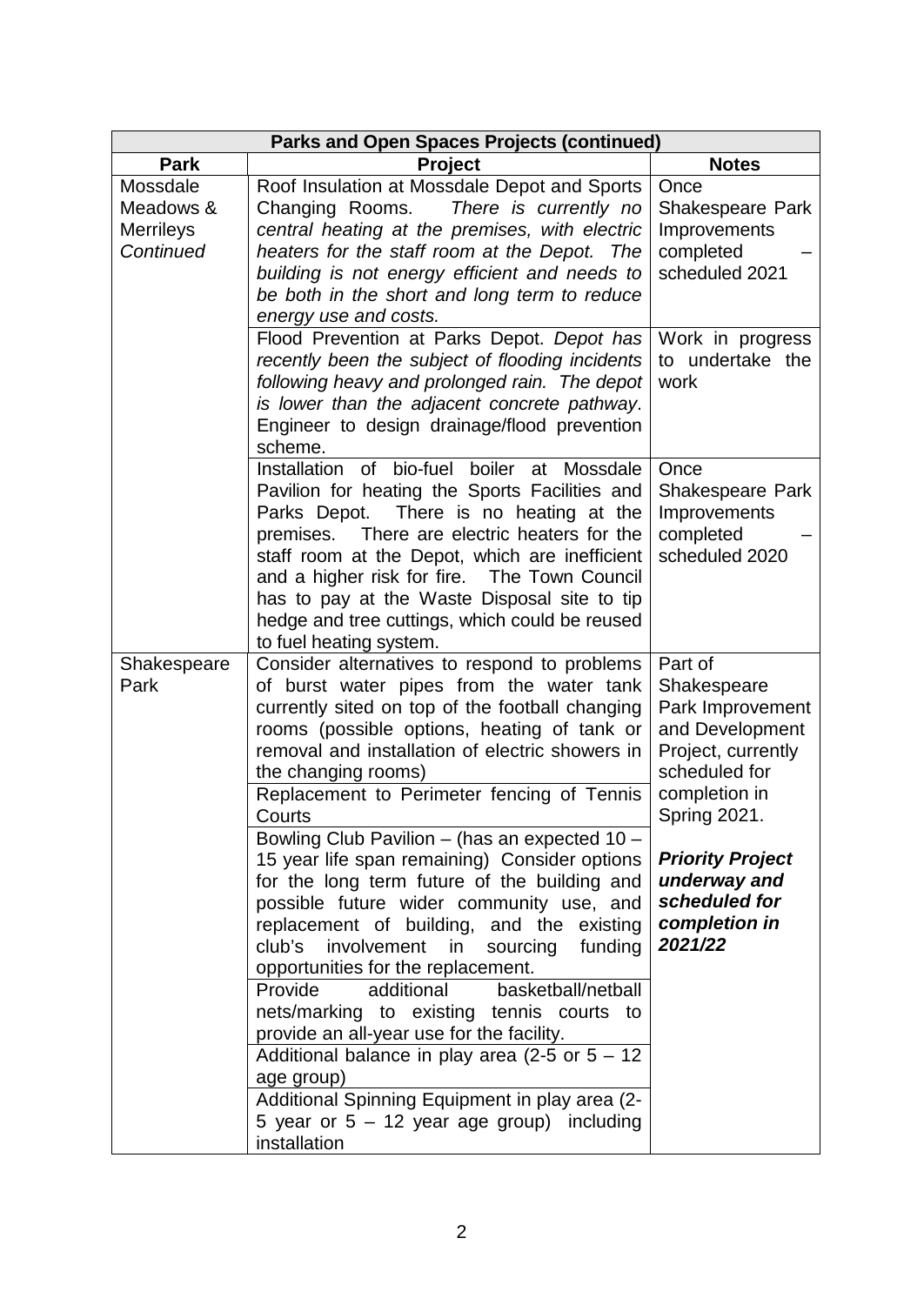| <b>Parks and Open Spaces Projects (continued)</b> |                                                                                                                                                                                                                                                                                                                                                                                                                                        |                                                                                                                       |
|---------------------------------------------------|----------------------------------------------------------------------------------------------------------------------------------------------------------------------------------------------------------------------------------------------------------------------------------------------------------------------------------------------------------------------------------------------------------------------------------------|-----------------------------------------------------------------------------------------------------------------------|
| <b>Park</b>                                       | <b>Project</b>                                                                                                                                                                                                                                                                                                                                                                                                                         | <b>Notes</b>                                                                                                          |
| Mossdale<br>Meadows &                             | Roof Insulation at Mossdale Depot and Sports<br>Changing Rooms.<br>There is currently no                                                                                                                                                                                                                                                                                                                                               | Once<br>Shakespeare Park                                                                                              |
| <b>Merrileys</b><br>Continued                     | central heating at the premises, with electric<br>heaters for the staff room at the Depot. The                                                                                                                                                                                                                                                                                                                                         | Improvements<br>completed                                                                                             |
|                                                   | building is not energy efficient and needs to<br>be both in the short and long term to reduce                                                                                                                                                                                                                                                                                                                                          | scheduled 2021                                                                                                        |
|                                                   | energy use and costs.<br>Flood Prevention at Parks Depot. Depot has<br>recently been the subject of flooding incidents                                                                                                                                                                                                                                                                                                                 | Work in progress<br>to undertake the                                                                                  |
|                                                   | following heavy and prolonged rain. The depot<br>is lower than the adjacent concrete pathway.<br>Engineer to design drainage/flood prevention<br>scheme.                                                                                                                                                                                                                                                                               | work                                                                                                                  |
|                                                   | of bio-fuel<br>boiler at<br>Installation<br>Mossdale<br>Pavilion for heating the Sports Facilities and<br>There is no heating at the<br>Parks Depot.<br>There are electric heaters for the<br>premises.<br>staff room at the Depot, which are inefficient<br>and a higher risk for fire. The Town Council<br>has to pay at the Waste Disposal site to tip<br>hedge and tree cuttings, which could be reused<br>to fuel heating system. | Once<br>Shakespeare Park<br>Improvements<br>completed<br>scheduled 2020                                               |
| Shakespeare<br>Park                               | Consider alternatives to respond to problems<br>of burst water pipes from the water tank<br>currently sited on top of the football changing<br>rooms (possible options, heating of tank or<br>removal and installation of electric showers in<br>the changing rooms)<br>Replacement to Perimeter fencing of Tennis                                                                                                                     | Part of<br>Shakespeare<br>Park Improvement<br>and Development<br>Project, currently<br>scheduled for<br>completion in |
|                                                   | Courts<br>Bowling Club Pavilion - (has an expected 10 -<br>15 year life span remaining) Consider options<br>for the long term future of the building and<br>possible future wider community use, and<br>replacement of building, and the existing<br>club's<br>involvement<br>in<br>sourcing<br>funding<br>opportunities for the replacement.                                                                                          | <b>Spring 2021.</b><br><b>Priority Project</b><br>underway and<br>scheduled for<br>completion in<br>2021/22           |
|                                                   | additional<br>basketball/netball<br>Provide<br>nets/marking to existing tennis courts to<br>provide an all-year use for the facility.<br>Additional balance in play area (2-5 or $5 - 12$ )<br>age group)                                                                                                                                                                                                                              |                                                                                                                       |
|                                                   | Additional Spinning Equipment in play area (2-<br>5 year or $5 - 12$ year age group) including<br>installation                                                                                                                                                                                                                                                                                                                         |                                                                                                                       |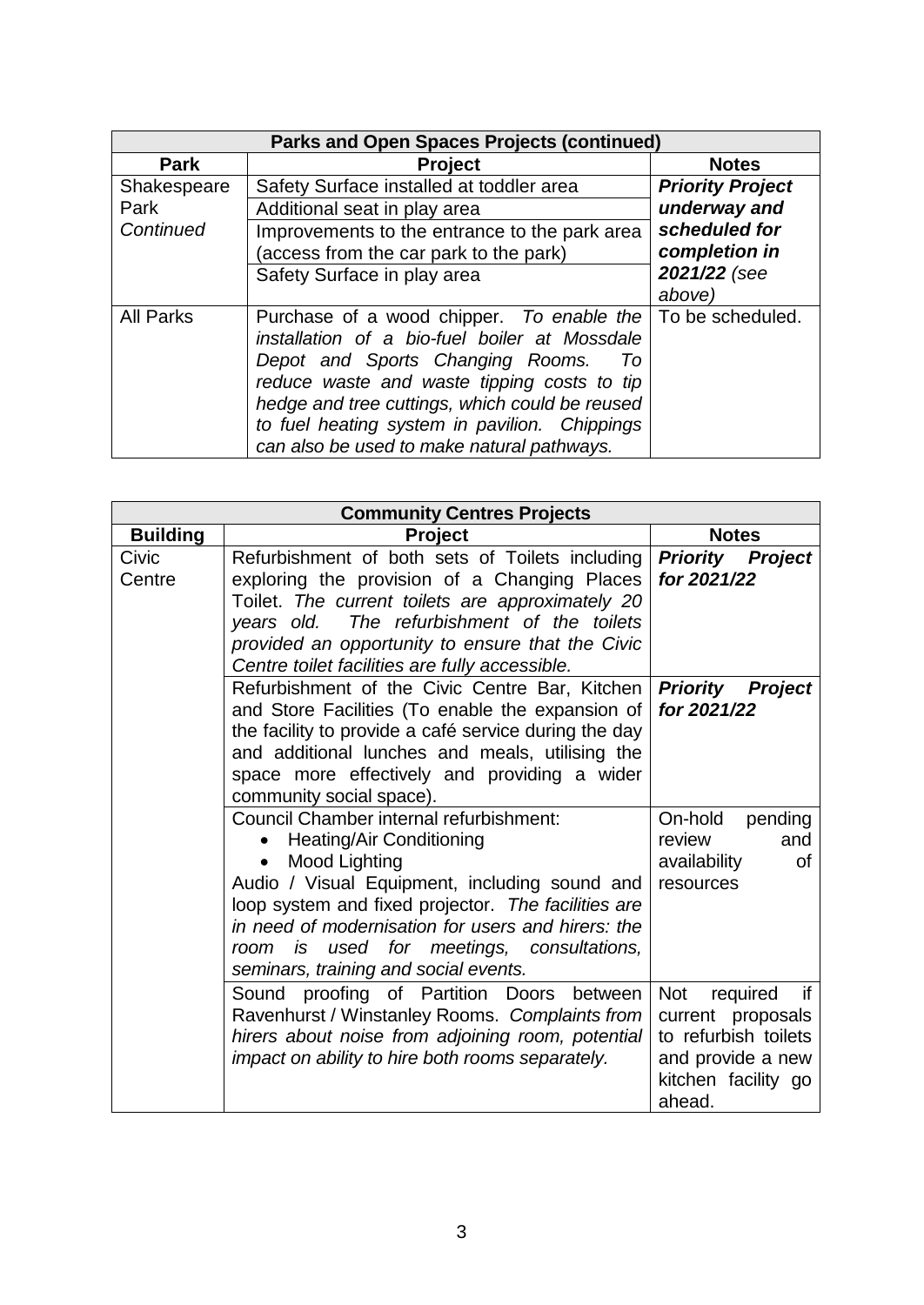| <b>Parks and Open Spaces Projects (continued)</b> |                                                                                                                                                                                                        |                         |
|---------------------------------------------------|--------------------------------------------------------------------------------------------------------------------------------------------------------------------------------------------------------|-------------------------|
| <b>Park</b>                                       | <b>Project</b>                                                                                                                                                                                         | <b>Notes</b>            |
| Shakespeare                                       | Safety Surface installed at toddler area                                                                                                                                                               | <b>Priority Project</b> |
| Park                                              | Additional seat in play area                                                                                                                                                                           | underway and            |
| Continued                                         | Improvements to the entrance to the park area                                                                                                                                                          | scheduled for           |
|                                                   | (access from the car park to the park)                                                                                                                                                                 | completion in           |
|                                                   | Safety Surface in play area                                                                                                                                                                            | 2021/22 (see            |
|                                                   |                                                                                                                                                                                                        | above)                  |
| <b>All Parks</b>                                  | Purchase of a wood chipper. To enable the   To be scheduled.<br>installation of a bio-fuel boiler at Mossdale<br>Depot and Sports Changing Rooms.<br>Τo<br>reduce waste and waste tipping costs to tip |                         |
|                                                   | hedge and tree cuttings, which could be reused                                                                                                                                                         |                         |
|                                                   | to fuel heating system in pavilion. Chippings                                                                                                                                                          |                         |
|                                                   | can also be used to make natural pathways.                                                                                                                                                             |                         |

| <b>Community Centres Projects</b> |                                                                                                                                                                                                                                                                                                                                                       |                                                                                                                          |
|-----------------------------------|-------------------------------------------------------------------------------------------------------------------------------------------------------------------------------------------------------------------------------------------------------------------------------------------------------------------------------------------------------|--------------------------------------------------------------------------------------------------------------------------|
| <b>Building</b>                   | <b>Project</b>                                                                                                                                                                                                                                                                                                                                        | <b>Notes</b>                                                                                                             |
| Civic<br>Centre                   | Refurbishment of both sets of Toilets including<br>exploring the provision of a Changing Places<br>Toilet. The current toilets are approximately 20<br>years old. The refurbishment of the toilets<br>provided an opportunity to ensure that the Civic<br>Centre toilet facilities are fully accessible.                                              | <b>Priority Project</b><br>for 2021/22                                                                                   |
|                                   | Refurbishment of the Civic Centre Bar, Kitchen<br>and Store Facilities (To enable the expansion of<br>the facility to provide a café service during the day<br>and additional lunches and meals, utilising the<br>space more effectively and providing a wider<br>community social space).                                                            | <b>Priority Project</b><br>for 2021/22                                                                                   |
|                                   | Council Chamber internal refurbishment:<br><b>Heating/Air Conditioning</b><br>Mood Lighting<br>Audio / Visual Equipment, including sound and<br>loop system and fixed projector. The facilities are<br>in need of modernisation for users and hirers: the<br>used for meetings, consultations,<br>room<br>is<br>seminars, training and social events. | On-hold<br>pending<br>and<br>review<br>availability<br>Οf<br>resources                                                   |
|                                   | Sound proofing of Partition Doors between<br>Ravenhurst / Winstanley Rooms. Complaints from<br>hirers about noise from adjoining room, potential<br>impact on ability to hire both rooms separately.                                                                                                                                                  | Not<br>required<br>if<br>current proposals<br>to refurbish toilets<br>and provide a new<br>kitchen facility go<br>ahead. |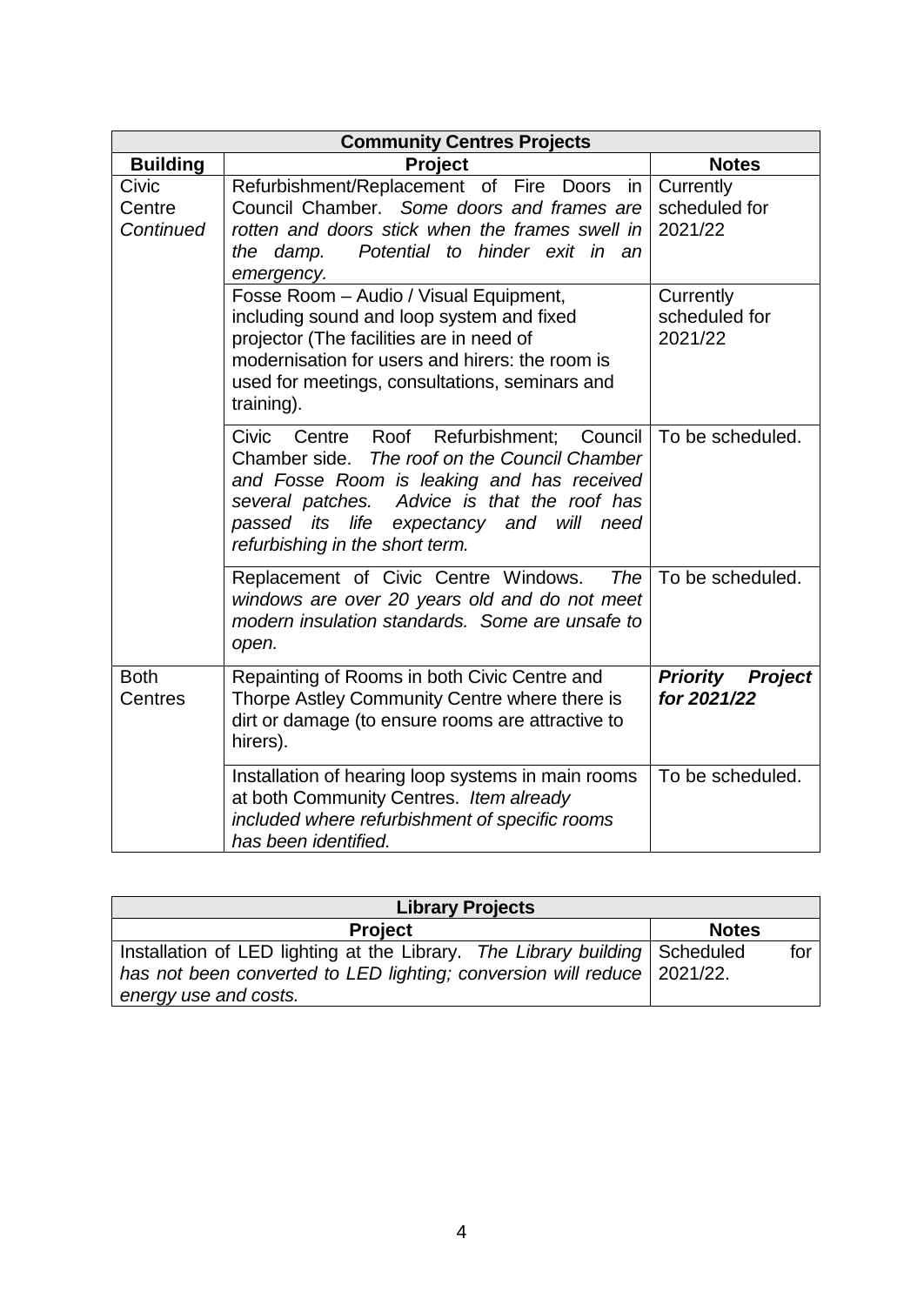| <b>Community Centres Projects</b> |                                                                                                                                                                                                                                                                                    |                                                  |
|-----------------------------------|------------------------------------------------------------------------------------------------------------------------------------------------------------------------------------------------------------------------------------------------------------------------------------|--------------------------------------------------|
| <b>Building</b>                   | <b>Project</b>                                                                                                                                                                                                                                                                     | <b>Notes</b>                                     |
| Civic<br>Centre<br>Continued      | Refurbishment/Replacement of Fire Doors<br>in<br>Council Chamber. Some doors and frames are<br>rotten and doors stick when the frames swell in<br>Potential to hinder exit in an<br>the damp.<br>emergency.                                                                        | Currently<br>scheduled for<br>2021/22            |
|                                   | Fosse Room - Audio / Visual Equipment,<br>including sound and loop system and fixed<br>projector (The facilities are in need of<br>modernisation for users and hirers: the room is<br>used for meetings, consultations, seminars and<br>training).                                 | Currently<br>scheduled for<br>2021/22            |
|                                   | Civic<br>Council<br>Centre Roof<br>Refurbishment;<br>Chamber side.<br>The roof on the Council Chamber<br>and Fosse Room is leaking and has received<br>several patches. Advice is that the roof has<br>passed its life expectancy and will need<br>refurbishing in the short term. | To be scheduled.                                 |
|                                   | Replacement of Civic Centre Windows.<br>The<br>windows are over 20 years old and do not meet<br>modern insulation standards. Some are unsafe to<br>open.                                                                                                                           | To be scheduled.                                 |
| <b>Both</b><br>Centres            | Repainting of Rooms in both Civic Centre and<br>Thorpe Astley Community Centre where there is<br>dirt or damage (to ensure rooms are attractive to<br>hirers).                                                                                                                     | <b>Priority</b><br><b>Project</b><br>for 2021/22 |
|                                   | Installation of hearing loop systems in main rooms<br>at both Community Centres. Item already<br>included where refurbishment of specific rooms<br>has been identified.                                                                                                            | To be scheduled.                                 |

| <b>Library Projects</b>                                                     |              |     |
|-----------------------------------------------------------------------------|--------------|-----|
| <b>Project</b>                                                              | <b>Notes</b> |     |
| Installation of LED lighting at the Library. The Library building Scheduled |              | for |
| has not been converted to LED lighting; conversion will reduce 2021/22.     |              |     |
| energy use and costs.                                                       |              |     |